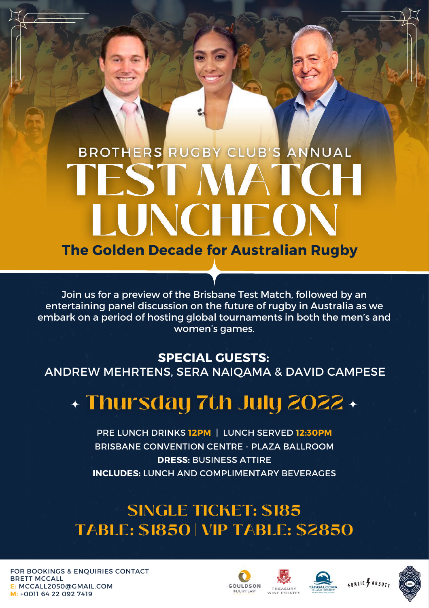# BROTHERS RUGBY CLUB'S ANNUAL JNCHEO **The Golden Decade for Australian Rugby**

Join us for a preview of the Brisbane Test Match, followed by an entertaining panel discussion on the future of rugby in Australia as we embark on a period of hosting global tournaments in both the men's and women's games.

### **SPECIAL GUESTS:**

ANDREW MEHRTENS, SERA NAIQAMA & DAVID CAMPESE

### + Thursday 7th July 2022 +

PRE LUNCH DRINKS **12PM** | LUNCH SERVED **12:30PM** BRISBANE CONVENTION CENTRE - PLAZA BALLROOM **DRESS:** BUSINESS ATTIRE **INCLUDES:** LUNCH AND COMPLIMENTARY BEVERAGES

### **SINGLE TICKET: \$185 TABLE: \$1850 | VIP TABLE: \$2850**

FOR BOOKINGS & ENQUIRIES CONTACT BRETT MCCALL **E:** [MCCALL2050@GMAIL.COM](mailto:Mccall2050@gmail.com) **M:** +0011 64 22 092 7419